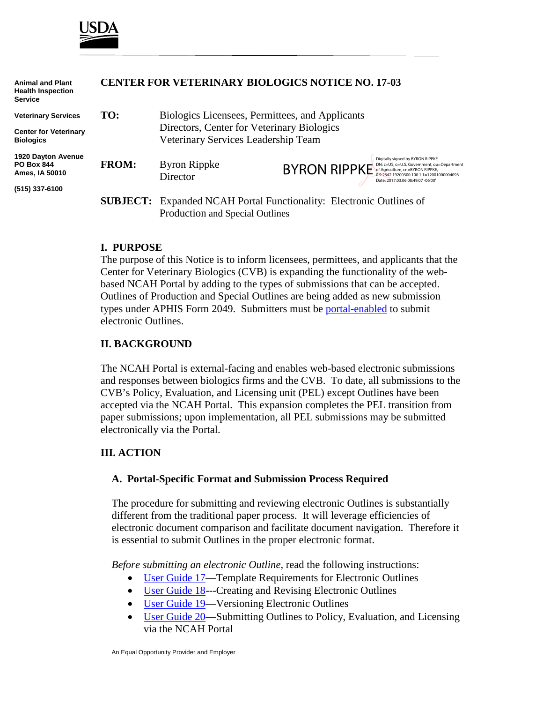

**Animal and Plant**

| <b>Health Inspection</b><br><b>Service</b>                       |              |                                                                                   |                                                                                                                                                                                                                   |  |
|------------------------------------------------------------------|--------------|-----------------------------------------------------------------------------------|-------------------------------------------------------------------------------------------------------------------------------------------------------------------------------------------------------------------|--|
| <b>Veterinary Services</b>                                       | TO:          | Biologics Licensees, Permittees, and Applicants                                   |                                                                                                                                                                                                                   |  |
| <b>Center for Veterinary</b><br><b>Biologics</b>                 |              | Directors, Center for Veterinary Biologics<br>Veterinary Services Leadership Team |                                                                                                                                                                                                                   |  |
| <b>1920 Dayton Avenue</b><br><b>PO Box 844</b><br>Ames, IA 50010 | <b>FROM:</b> | <b>Byron Rippke</b><br>Director                                                   | Digitally signed by BYRON RIPPKE<br>DN: c=US, o=U.S. Government, ou=Department<br>BYRON RIPPKE Of Agriculture, CN= BYRON RIPPKE,<br>0.9.2342.19200300.100.1.1=12001000004093<br>Date: 2017.03.06 08:49:07 -06'00' |  |
| (515) 337-6100                                                   |              |                                                                                   |                                                                                                                                                                                                                   |  |
|                                                                  |              | <b>SUBJECT:</b> Expanded NCAH Portal Functionality: Electronic Outlines of        |                                                                                                                                                                                                                   |  |
|                                                                  |              | Production and Special Outlines                                                   |                                                                                                                                                                                                                   |  |

**CENTER FOR VETERINARY BIOLOGICS NOTICE NO. 17-03**

#### **I. PURPOSE**

The purpose of this Notice is to inform licensees, permittees, and applicants that the Center for Veterinary Biologics (CVB) is expanding the functionality of the webbased NCAH Portal by adding to the types of submissions that can be accepted. Outlines of Production and Special Outlines are being added as new submission types under APHIS Form 2049. Submitters must be [portal-enabled](https://www.aphis.usda.gov/animal_health/vet_biologics/publications/Portal_Access_Flow_Chart.pdf) to submit electronic Outlines.

#### **II. BACKGROUND**

The NCAH Portal is external-facing and enables web-based electronic submissions and responses between biologics firms and the CVB. To date, all submissions to the CVB's Policy, Evaluation, and Licensing unit (PEL) except Outlines have been accepted via the NCAH Portal. This expansion completes the PEL transition from paper submissions; upon implementation, all PEL submissions may be submitted electronically via the Portal.

### **III. ACTION**

#### **A. Portal-Specific Format and Submission Process Required**

The procedure for submitting and reviewing electronic Outlines is substantially different from the traditional paper process. It will leverage efficiencies of electronic document comparison and facilitate document navigation. Therefore it is essential to submit Outlines in the proper electronic format.

*Before submitting an electronic Outline,* read the following instructions:

- [User Guide 17—](https://www.aphis.usda.gov/animal_health/vet_biologics/publications/17-RequirementsForOPTemplates.pdf)Template Requirements for Electronic Outlines
- User Guide 18—-Creating and Revising Electronic Outlines
- [User Guide 19—](https://www.aphis.usda.gov/animal_health/vet_biologics/publications/19-VersioningElectronicOutlines.pdf)Versioning Electronic Outlines
- [User Guide 20—](https://www.aphis.usda.gov/animal_health/vet_biologics/publications/20-SubmittingOutlinesViaPortal.pdf)Submitting Outlines to Policy, Evaluation, and Licensing via the NCAH Portal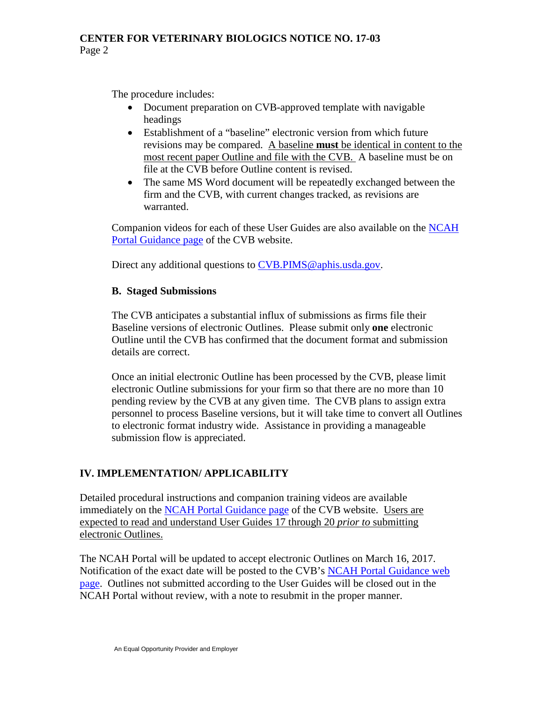The procedure includes:

- Document preparation on CVB-approved template with navigable headings
- Establishment of a "baseline" electronic version from which future revisions may be compared. A baseline **must** be identical in content to the most recent paper Outline and file with the CVB. A baseline must be on file at the CVB before Outline content is revised.
- The same MS Word document will be repeatedly exchanged between the firm and the CVB, with current changes tracked, as revisions are warranted.

Companion videos for each of these User Guides are also available on the [NCAH](https://www.aphis.usda.gov/aphis/ourfocus/animalhealth/veterinary-biologics/sa_ncah_portal_guidance/ct_cvb_portal_guidance)  [Portal Guidance page](https://www.aphis.usda.gov/aphis/ourfocus/animalhealth/veterinary-biologics/sa_ncah_portal_guidance/ct_cvb_portal_guidance) of the CVB website.

Direct any additional questions to [CVB.PIMS@aphis.usda.gov.](mailto:CVB.PIMS@aphis.usda.gov)

## **B. Staged Submissions**

The CVB anticipates a substantial influx of submissions as firms file their Baseline versions of electronic Outlines. Please submit only **one** electronic Outline until the CVB has confirmed that the document format and submission details are correct.

Once an initial electronic Outline has been processed by the CVB, please limit electronic Outline submissions for your firm so that there are no more than 10 pending review by the CVB at any given time. The CVB plans to assign extra personnel to process Baseline versions, but it will take time to convert all Outlines to electronic format industry wide. Assistance in providing a manageable submission flow is appreciated.

# **IV. IMPLEMENTATION/ APPLICABILITY**

Detailed procedural instructions and companion training videos are available immediately on the [NCAH Portal Guidance page](https://www.aphis.usda.gov/aphis/ourfocus/animalhealth/veterinary-biologics/sa_ncah_portal_guidance/ct_cvb_portal_guidance) of the CVB website. Users are expected to read and understand User Guides 17 through 20 *prior to* submitting electronic Outlines.

The NCAH Portal will be updated to accept electronic Outlines on March 16, 2017. Notification of the exact date will be posted to the CVB's [NCAH Portal Guidance web](https://www.aphis.usda.gov/aphis/ourfocus/animalhealth/veterinary-biologics/sa_ncah_portal_guidance/ct_cvb_portal_guidance)  [page.](https://www.aphis.usda.gov/aphis/ourfocus/animalhealth/veterinary-biologics/sa_ncah_portal_guidance/ct_cvb_portal_guidance) Outlines not submitted according to the User Guides will be closed out in the NCAH Portal without review, with a note to resubmit in the proper manner.